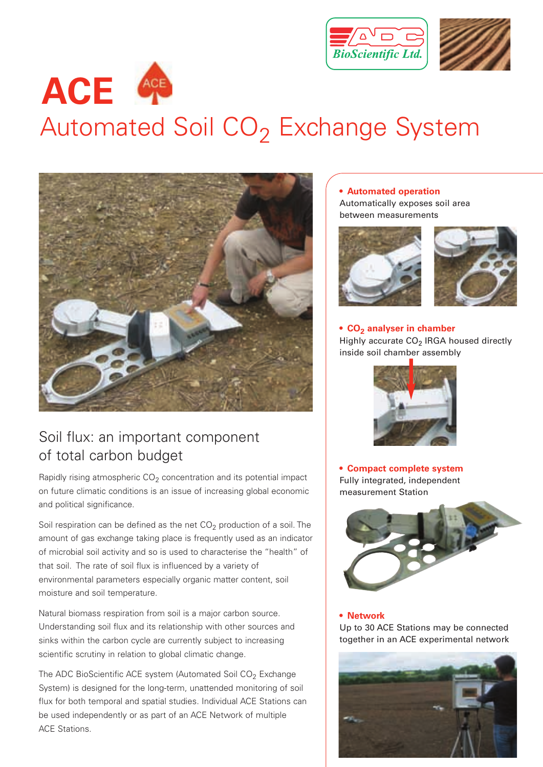



## Automated Soil CO<sub>2</sub> Exchange System



### Soil flux: an important component of total carbon budget

Rapidly rising atmospheric  $CO<sub>2</sub>$  concentration and its potential impact on future climatic conditions is an issue of increasing global economic and political significance.

Soil respiration can be defined as the net  $CO<sub>2</sub>$  production of a soil. The amount of gas exchange taking place is frequently used as an indicator of microbial soil activity and so is used to characterise the "health" of that soil. The rate of soil flux is influenced by a variety of environmental parameters especially organic matter content, soil moisture and soil temperature.

Natural biomass respiration from soil is a major carbon source. Understanding soil flux and its relationship with other sources and sinks within the carbon cycle are currently subject to increasing scientific scrutiny in relation to global climatic change.

The ADC BioScientific ACE system (Automated Soil  $CO<sub>2</sub>$  Exchange System) is designed for the long-term, unattended monitoring of soil flux for both temporal and spatial studies. Individual ACE Stations can be used independently or as part of an ACE Network of multiple ACE Stations.

#### **• Automated operation**

Automatically exposes soil area between measurements





#### • CO<sub>2</sub> analyser in chamber Highly accurate  $CO<sub>2</sub>$  IRGA housed directly inside soil chamber assembly



**• Compact complete system** Fully integrated, independent measurement Station



#### **• Network**

Up to 30 ACE Stations may be connected together in an ACE experimental network

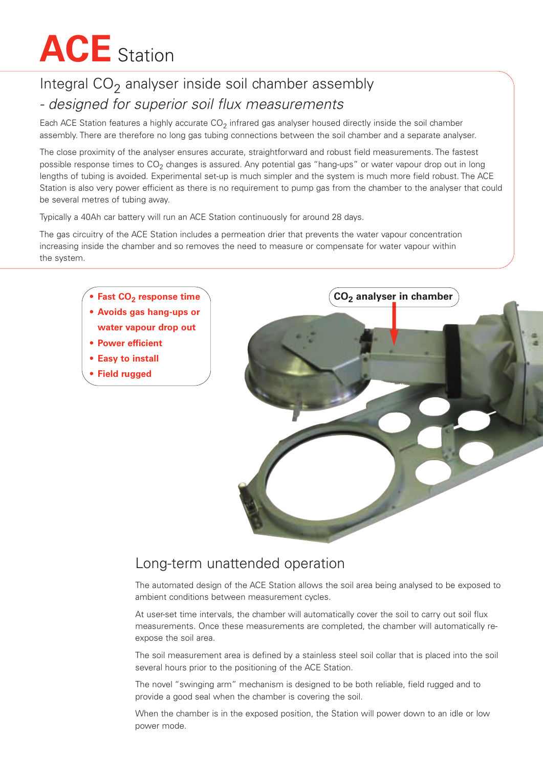## **ACE** Station

## Integral  $CO<sub>2</sub>$  analyser inside soil chamber assembly *- designed for superior soil flux measurements*

Each ACE Station features a highly accurate  $CO<sub>2</sub>$  infrared gas analyser housed directly inside the soil chamber assembly. There are therefore no long gas tubing connections between the soil chamber and a separate analyser.

The close proximity of the analyser ensures accurate, straightforward and robust field measurements. The fastest possible response times to  $CO<sub>2</sub>$  changes is assured. Any potential gas "hang-ups" or water vapour drop out in long lengths of tubing is avoided. Experimental set-up is much simpler and the system is much more field robust. The ACE Station is also very power efficient as there is no requirement to pump gas from the chamber to the analyser that could be several metres of tubing away.

Typically a 40Ah car battery will run an ACE Station continuously for around 28 days.

The gas circuitry of the ACE Station includes a permeation drier that prevents the water vapour concentration increasing inside the chamber and so removes the need to measure or compensate for water vapour within the system.



#### Long-term unattended operation

The automated design of the ACE Station allows the soil area being analysed to be exposed to ambient conditions between measurement cycles.

At user-set time intervals, the chamber will automatically cover the soil to carry out soil flux measurements. Once these measurements are completed, the chamber will automatically reexpose the soil area.

The soil measurement area is defined by a stainless steel soil collar that is placed into the soil several hours prior to the positioning of the ACE Station.

The novel "swinging arm" mechanism is designed to be both reliable, field rugged and to provide a good seal when the chamber is covering the soil.

When the chamber is in the exposed position, the Station will power down to an idle or low power mode.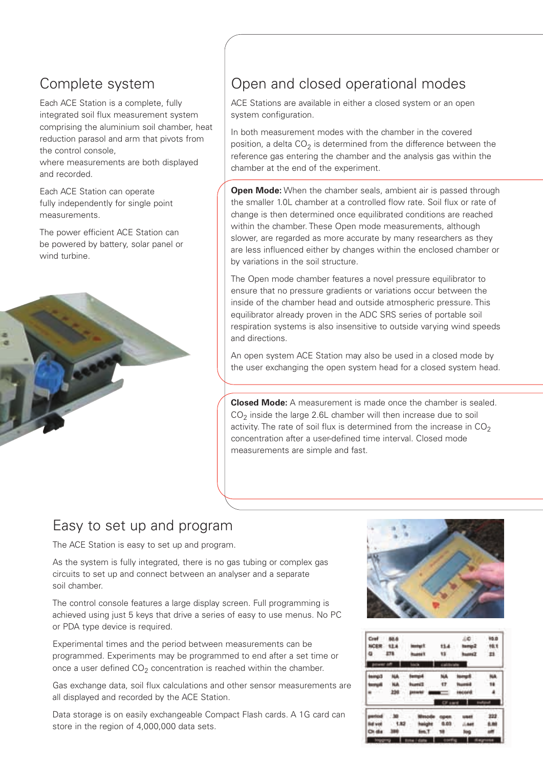## Complete system

Each ACE Station is a complete, fully integrated soil flux measurement system comprising the aluminium soil chamber, heat reduction parasol and arm that pivots from the control console,

where measurements are both displayed and recorded.

Each ACE Station can operate fully independently for single point measurements.

The power efficient ACE Station can be powered by battery, solar panel or wind turbine.



### Open and closed operational modes

ACE Stations are available in either a closed system or an open system configuration.

In both measurement modes with the chamber in the covered position, a delta  $CO<sub>2</sub>$  is determined from the difference between the reference gas entering the chamber and the analysis gas within the chamber at the end of the experiment.

**Open Mode:** When the chamber seals, ambient air is passed through the smaller 1.0L chamber at a controlled flow rate. Soil flux or rate of change is then determined once equilibrated conditions are reached within the chamber. These Open mode measurements, although slower, are regarded as more accurate by many researchers as they are less influenced either by changes within the enclosed chamber or by variations in the soil structure.

The Open mode chamber features a novel pressure equilibrator to ensure that no pressure gradients or variations occur between the inside of the chamber head and outside atmospheric pressure. This equilibrator already proven in the ADC SRS series of portable soil respiration systems is also insensitive to outside varying wind speeds and directions.

An open system ACE Station may also be used in a closed mode by the user exchanging the open system head for a closed system head.

**Closed Mode:** A measurement is made once the chamber is sealed.  $CO<sub>2</sub>$  inside the large 2.6L chamber will then increase due to soil activity. The rate of soil flux is determined from the increase in  $CO<sub>2</sub>$ concentration after a user-defined time interval. Closed mode measurements are simple and fast.

#### Easy to set up and program

The ACE Station is easy to set up and program.

As the system is fully integrated, there is no gas tubing or complex gas circuits to set up and connect between an analyser and a separate soil chamber.

The control console features a large display screen. Full programming is achieved using just 5 keys that drive a series of easy to use menus. No PC or PDA type device is required.

Experimental times and the period between measurements can be programmed. Experiments may be programmed to end after a set time or once a user defined  $CO<sub>2</sub>$  concentration is reached within the chamber.

Gas exchange data, soil flux calculations and other sensor measurements are all displayed and recorded by the ACE Station.

Data storage is on easily exchangeable Compact Flash cards. A 1G card can store in the region of 4,000,000 data sets.



| Cref<br>NOER<br>۰. | 50.5<br><b>ETS</b> | <b>Andrew F</b><br><b><i><u>Suite</u>lt</i></b> | 13             | üØ<br>tsmas2<br>huancz | 46.D<br>10.1<br>23 |
|--------------------|--------------------|-------------------------------------------------|----------------|------------------------|--------------------|
| power off          |                    |                                                 |                |                        |                    |
| <b>Immo:3</b>      | 補業                 | <b>Farmuld</b>                                  | ۹ä             | <b>Normal</b>          | hu                 |
| <b>tarrush</b>     | NA                 | <b>Pounts[]</b>                                 | IT.            |                        | 18                 |
|                    | 256                | personal                                        |                | 190,003                | ۸                  |
|                    |                    |                                                 | <b>CF sant</b> |                        |                    |
|                    |                    |                                                 |                | <b>JAF</b>             | 222                |
| wa                 | 1.82               |                                                 | 6.03           | 441                    |                    |
| 8a                 |                    |                                                 |                | lini                   |                    |
|                    |                    | <b>I</b> date                                   |                |                        |                    |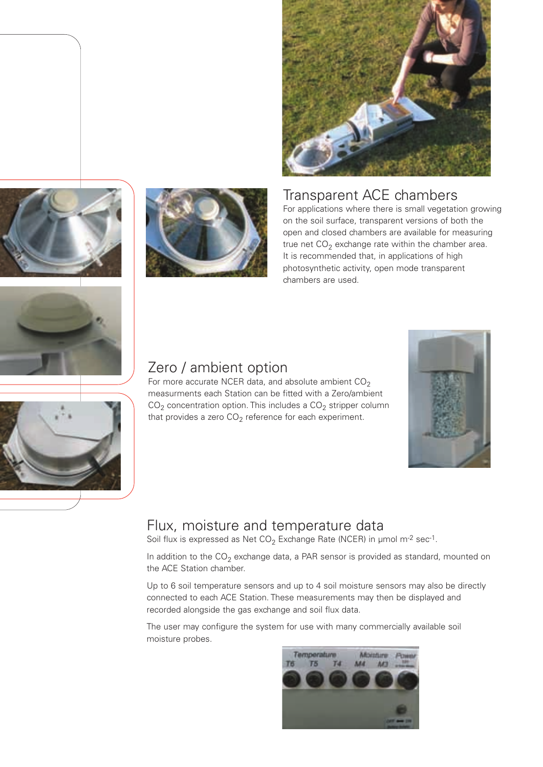

#### Transparent ACE chambers

For applications where there is small vegetation growing on the soil surface, transparent versions of both the open and closed chambers are available for measuring true net  $CO<sub>2</sub>$  exchange rate within the chamber area. It is recommended that, in applications of high photosynthetic activity, open mode transparent chambers are used.







For more accurate NCER data, and absolute ambient  $CO<sub>2</sub>$ measurments each Station can be fitted with a Zero/ambient  $CO<sub>2</sub>$  concentration option. This includes a  $CO<sub>2</sub>$  stripper column that provides a zero  $CO<sub>2</sub>$  reference for each experiment.



#### Flux, moisture and temperature data

Soil flux is expressed as Net  $CO<sub>2</sub>$  Exchange Rate (NCER) in µmol m<sup>-2</sup> sec<sup>-1</sup>.

In addition to the  $CO<sub>2</sub>$  exchange data, a PAR sensor is provided as standard, mounted on the ACE Station chamber.

Up to 6 soil temperature sensors and up to 4 soil moisture sensors may also be directly connected to each ACE Station. These measurements may then be displayed and recorded alongside the gas exchange and soil flux data.

The user may configure the system for use with many commercially available soil moisture probes.



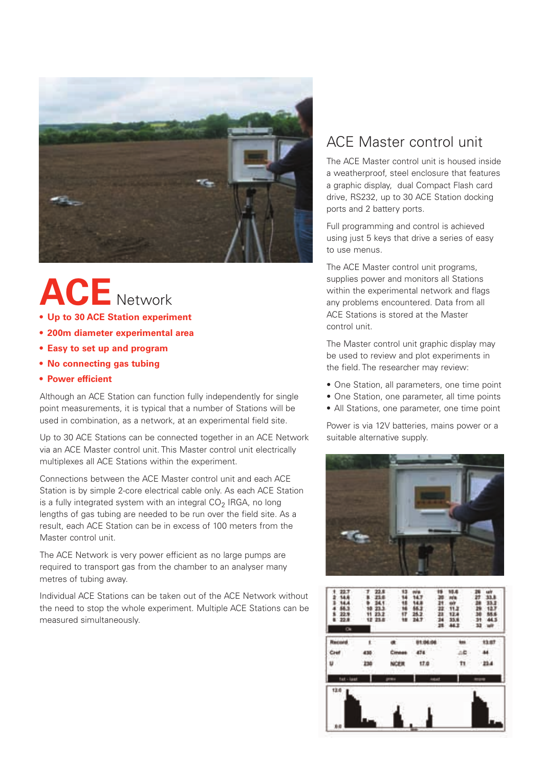

# **ACE** Network

- **Up to 30 ACE Station experiment**
- **200m diameter experimental area**
- **Easy to set up and program**
- **No connecting gas tubing**
- **Power efficient**

Although an ACE Station can function fully independently for single point measurements, it is typical that a number of Stations will be used in combination, as a network, at an experimental field site.

Up to 30 ACE Stations can be connected together in an ACE Network via an ACE Master control unit. This Master control unit electrically multiplexes all ACE Stations within the experiment.

Connections between the ACE Master control unit and each ACE Station is by simple 2-core electrical cable only. As each ACE Station is a fully integrated system with an integral  $CO<sub>2</sub>$  IRGA, no long lengths of gas tubing are needed to be run over the field site. As a result, each ACE Station can be in excess of 100 meters from the Master control unit.

The ACE Network is very power efficient as no large pumps are required to transport gas from the chamber to an analyser many metres of tubing away.

Individual ACE Stations can be taken out of the ACE Network without the need to stop the whole experiment. Multiple ACE Stations can be measured simultaneously.

#### ACE Master control unit

The ACE Master control unit is housed inside a weatherproof, steel enclosure that features a graphic display, dual Compact Flash card drive, RS232, up to 30 ACE Station docking ports and 2 battery ports.

Full programming and control is achieved using just 5 keys that drive a series of easy to use menus.

The ACE Master control unit programs, supplies power and monitors all Stations within the experimental network and flags any problems encountered. Data from all ACE Stations is stored at the Master control unit.

The Master control unit graphic display may be used to review and plot experiments in the field. The researcher may review:

- One Station, all parameters, one time point
- One Station, one parameter, all time points
- All Stations, one parameter, one time point

Power is via 12V batteries, mains power or a suitable alternative supply.